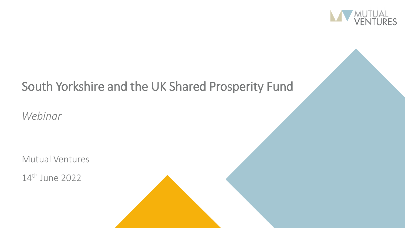

## South Yorkshire and the UK Shared Prosperity Fund

*Webinar*

Mutual Ventures

14th June 2022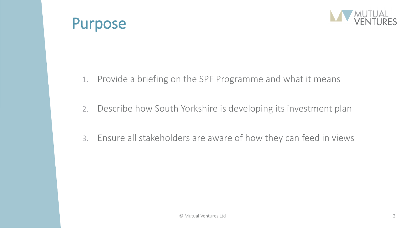



- 1. Provide a briefing on the SPF Programme and what it means
- 2. Describe how South Yorkshire is developing its investment plan
- 3. Ensure all stakeholders are aware of how they can feed in views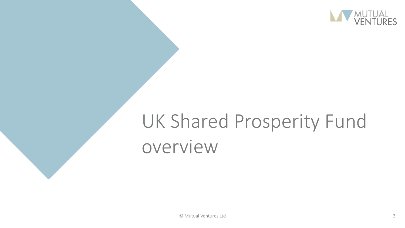

# UK Shared Prosperity Fund overview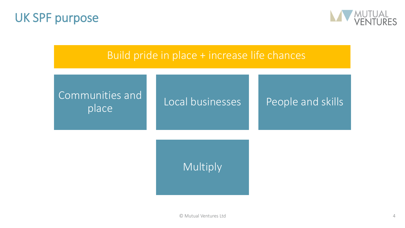



### Build pride in place + increase life chances

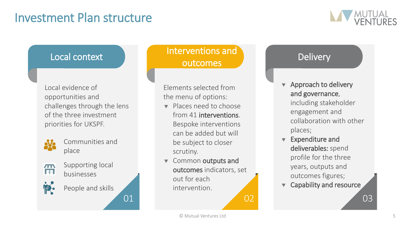## Investment Plan structure



Local evidence of opportunities and challenges through the lens of the three investment priorities for UKSPF.



Communities and place



- Supporting local businesses
- People and skills

### Local context **Interventions and** outcomes

Elements selected from the menu of options:

- Places need to choose from 41 interventions. Bespoke interventions can be added but will be subject to closer scrutiny.
- **v** Common outputs and outcomes indicators, set out for each intervention.

01 02 02 03

#### **Delivery**

- Approach to delivery and governance, including stakeholder engagement and collaboration with other places;
- **v** Expenditure and deliverables: spend profile for the three years, outputs and outcomes figures;
- Capability and resource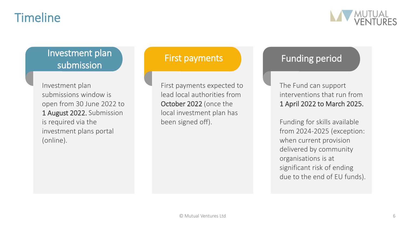## Timeline



### Investment plan submission

Investment plan submissions window is open from 30 June 2022 to 1 August 2022. Submission is required via the investment plans portal (online).

First payments expected to lead local authorities from October 2022 (once the local investment plan has been signed off).

#### First payments Funding period

The Fund can support interventions that run from 1 April 2022 to March 2025.

Funding for skills available from 2024-2025 (exception: when current provision delivered by community organisations is at significant risk of ending due to the end of EU funds).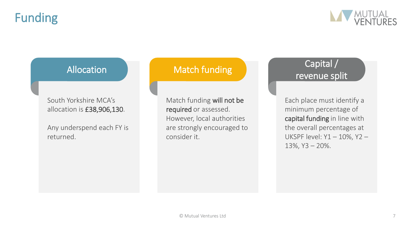## Funding



South Yorkshire MCA's allocation is £38,906,130.

Any underspend each FY is returned.

Match funding will not be required or assessed. However, local authorities are strongly encouraged to consider it.

### Allocation Match funding Allocation Capital / revenue split

Each place must identify a minimum percentage of capital funding in line with the overall percentages at UKSPF level: Y1 – 10%, Y2 – 13%, Y3 – 20%.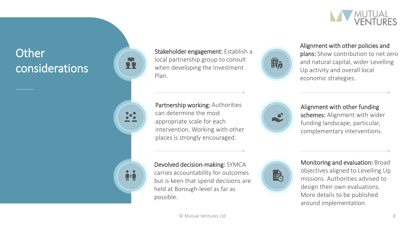

## **Other** considerations



**A**=U



Partnership working: Authorities can determine the most appropriate scale for each intervention. Working with other places is strongly encouraged.



Alignment with other policies and plans: Show contribution to net zero and natural capital, wider Levelling Up activity and overall local economic strategies.



Alignment with other funding schemes: Alignment with wider funding landscape, particular, complementary interventions.

Devolved decision -making: SYMCA carries accountability for outcomes but is keen that spend decisions are held at Borough -level as far as possible.



Monitoring and evaluation: Broad objectives aligned to Levelling Up missions. Authorities advised to design their own evaluations. More details to be published around implementation.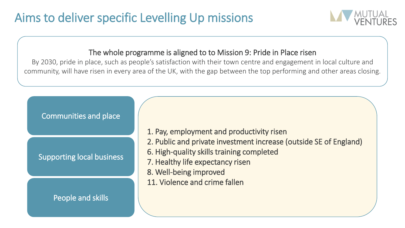

#### The whole programme is aligned to to Mission 9: Pride in Place risen

By 2030, pride in place, such as people's satisfaction with their town centre and engagement in local culture and community, will have risen in every area of the UK, with the gap between the top performing and other areas closing.

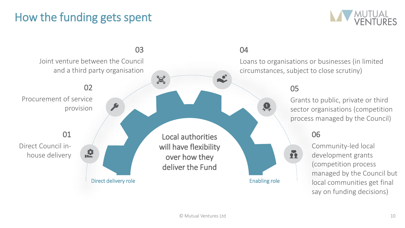## How the funding gets spent



#### 03 Joint venture between the Council and a third party organisation X 02 05 Procurement of service 具 provision 01 06 Local authorities Direct Council inwill have flexibility  $\mathbf{R}$ R house delivery over how they deliver the Fund Direct delivery role entitled and the Enabling role Enabling role

#### 04

Loans to organisations or businesses (in limited circumstances, subject to close scrutiny)

> Grants to public, private or third sector organisations (competition process managed by the Council)

Community-led local development grants (competition process managed by the Council but local communities get final say on funding decisions)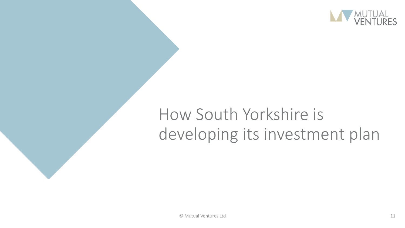

# How South Yorkshire is developing its investment plan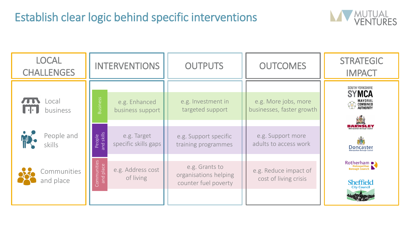

| <b>LOCAL</b><br><b>CHALLENGES</b> | <b>INTERVENTIONS</b>                                               | <b>OUTPUTS</b>                                                  | <b>OUTCOMES</b>                                   | <b>STRATEGIC</b><br><b>IMPACT</b>                                                    |
|-----------------------------------|--------------------------------------------------------------------|-----------------------------------------------------------------|---------------------------------------------------|--------------------------------------------------------------------------------------|
| _ocal<br>business                 | Business<br>e.g. Enhanced<br>business support                      | e.g. Investment in<br>targeted support                          | e.g. More jobs, more<br>businesses, faster growth | SOUTH YORKSHIRE<br><b>SYMCA</b><br>MAYORAL<br>Combined<br>Authority<br>$\mathcal{L}$ |
| People and<br>skills              | People<br>nd skills<br>e.g. Target<br>specific skills gaps<br>and: | e.g. Support specific<br>training programmes                    | e.g. Support more<br>adults to access work        | Doncaster                                                                            |
| Communities<br>and place          | Communities<br>and place<br>e.g. Address cost<br>of living         | e.g. Grants to<br>organisations helping<br>counter fuel poverty | e.g. Reduce impact of<br>cost of living crisis    | Rotherham<br><b>Sheffield</b><br><b>City Council</b>                                 |
|                                   |                                                                    |                                                                 |                                                   |                                                                                      |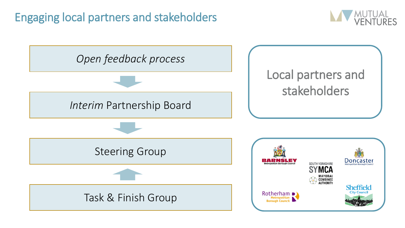## Engaging local partners and stakeholders



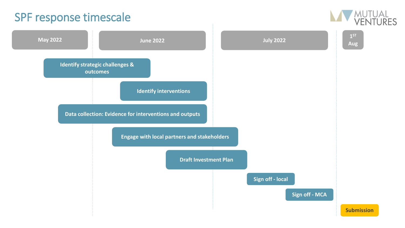## SPF response timescale



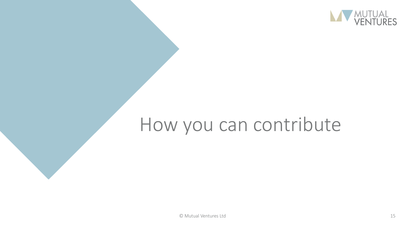

# How you can contribute